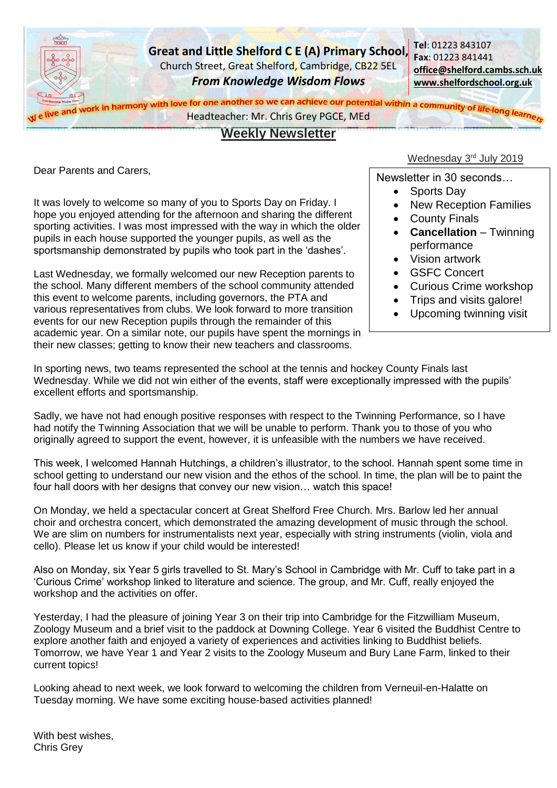

Dear Parents and Carers,

It was lovely to welcome so many of you to Sports Day on Friday. I hope you enjoyed attending for the afternoon and sharing the different sporting activities. I was most impressed with the way in which the older pupils in each house supported the younger pupils, as well as the sportsmanship demonstrated by pupils who took part in the 'dashes'.

Last Wednesday, we formally welcomed our new Reception parents to the school. Many different members of the school community attended this event to welcome parents, including governors, the PTA and various representatives from clubs. We look forward to more transition events for our new Reception pupils through the remainder of this academic year. On a similar note, our pupils have spent the mornings in their new classes; getting to know their new teachers and classrooms.

## Wednesday 3<sup>rd</sup> July 2019

Newsletter in 30 seconds…

- Sports Day
	- New Reception Families
	- County Finals
	- **Cancellation** Twinning performance
	- Vision artwork
- GSFC Concert
- Curious Crime workshop
- Trips and visits galore!
- Upcoming twinning visit

In sporting news, two teams represented the school at the tennis and hockey County Finals last Wednesday. While we did not win either of the events, staff were exceptionally impressed with the pupils' excellent efforts and sportsmanship.

Sadly, we have not had enough positive responses with respect to the Twinning Performance, so I have had notify the Twinning Association that we will be unable to perform. Thank you to those of you who originally agreed to support the event, however, it is unfeasible with the numbers we have received.

This week, I welcomed Hannah Hutchings, a children's illustrator, to the school. Hannah spent some time in school getting to understand our new vision and the ethos of the school. In time, the plan will be to paint the four hall doors with her designs that convey our new vision… watch this space!

On Monday, we held a spectacular concert at Great Shelford Free Church. Mrs. Barlow led her annual choir and orchestra concert, which demonstrated the amazing development of music through the school. We are slim on numbers for instrumentalists next year, especially with string instruments (violin, viola and cello). Please let us know if your child would be interested!

Also on Monday, six Year 5 girls travelled to St. Mary's School in Cambridge with Mr. Cuff to take part in a 'Curious Crime' workshop linked to literature and science. The group, and Mr. Cuff, really enjoyed the workshop and the activities on offer.

Yesterday, I had the pleasure of joining Year 3 on their trip into Cambridge for the Fitzwilliam Museum, Zoology Museum and a brief visit to the paddock at Downing College. Year 6 visited the Buddhist Centre to explore another faith and enjoyed a variety of experiences and activities linking to Buddhist beliefs. Tomorrow, we have Year 1 and Year 2 visits to the Zoology Museum and Bury Lane Farm, linked to their current topics!

Looking ahead to next week, we look forward to welcoming the children from Verneuil-en-Halatte on Tuesday morning. We have some exciting house-based activities planned!

With best wishes, Chris Grey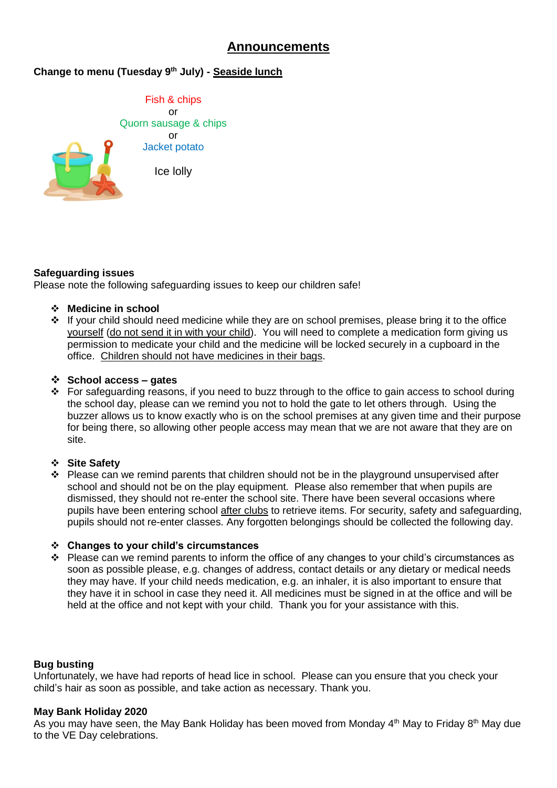# **Announcements**

## **Change to menu (Tuesday 9th July) - Seaside lunch**

Fish & chips or Quorn sausage & chips or Jacket potato Ice lolly

## **Safeguarding issues**

Please note the following safeguarding issues to keep our children safe!

- **Medicine in school**
- $\div$  If your child should need medicine while they are on school premises, please bring it to the office yourself (do not send it in with your child). You will need to complete a medication form giving us permission to medicate your child and the medicine will be locked securely in a cupboard in the office. Children should not have medicines in their bags.

#### **School access – gates**

\* For safeguarding reasons, if you need to buzz through to the office to gain access to school during the school day, please can we remind you not to hold the gate to let others through. Using the buzzer allows us to know exactly who is on the school premises at any given time and their purpose for being there, so allowing other people access may mean that we are not aware that they are on site.

## **Site Safety**

 $\cdot \cdot$  Please can we remind parents that children should not be in the playground unsupervised after school and should not be on the play equipment. Please also remember that when pupils are dismissed, they should not re-enter the school site. There have been several occasions where pupils have been entering school after clubs to retrieve items. For security, safety and safeguarding, pupils should not re-enter classes. Any forgotten belongings should be collected the following day.

#### **Changes to your child's circumstances**

\* Please can we remind parents to inform the office of any changes to your child's circumstances as soon as possible please, e.g. changes of address, contact details or any dietary or medical needs they may have. If your child needs medication, e.g. an inhaler, it is also important to ensure that they have it in school in case they need it. All medicines must be signed in at the office and will be held at the office and not kept with your child. Thank you for your assistance with this.

## **Bug busting**

Unfortunately, we have had reports of head lice in school. Please can you ensure that you check your child's hair as soon as possible, and take action as necessary. Thank you.

#### **May Bank Holiday 2020**

As you may have seen, the May Bank Holiday has been moved from Monday 4<sup>th</sup> May to Friday 8<sup>th</sup> May due to the VE Day celebrations.